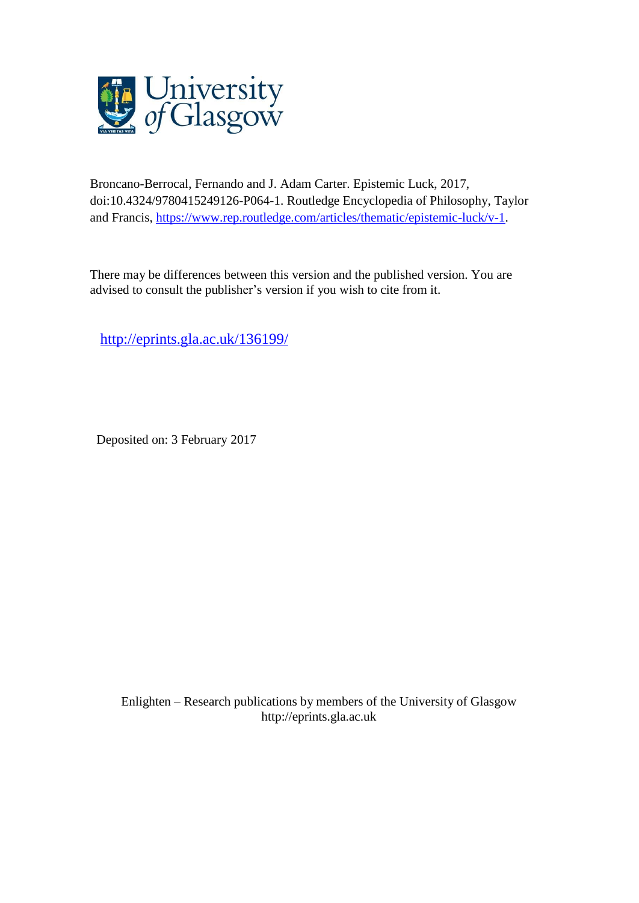

Broncano-Berrocal, Fernando and J. Adam Carter. Epistemic Luck, 2017, doi:10.4324/9780415249126-P064-1. Routledge Encyclopedia of Philosophy, Taylor and Francis, [https://www.rep.routledge.com/articles/thematic/epistemic-luck/v-1.](https://www.rep.routledge.com/articles/thematic/epistemic-luck/v-1)

There may be differences between this version and the published version. You are advised to consult the publisher's version if you wish to cite from it.

<http://eprints.gla.ac.uk/136199/>

Deposited on: 3 February 2017

Enlighten – Research publications by members of the University of Glasgo[w](http://eprints.gla.ac.uk/) [http://eprints.gla.ac.uk](http://eprints.gla.ac.uk/)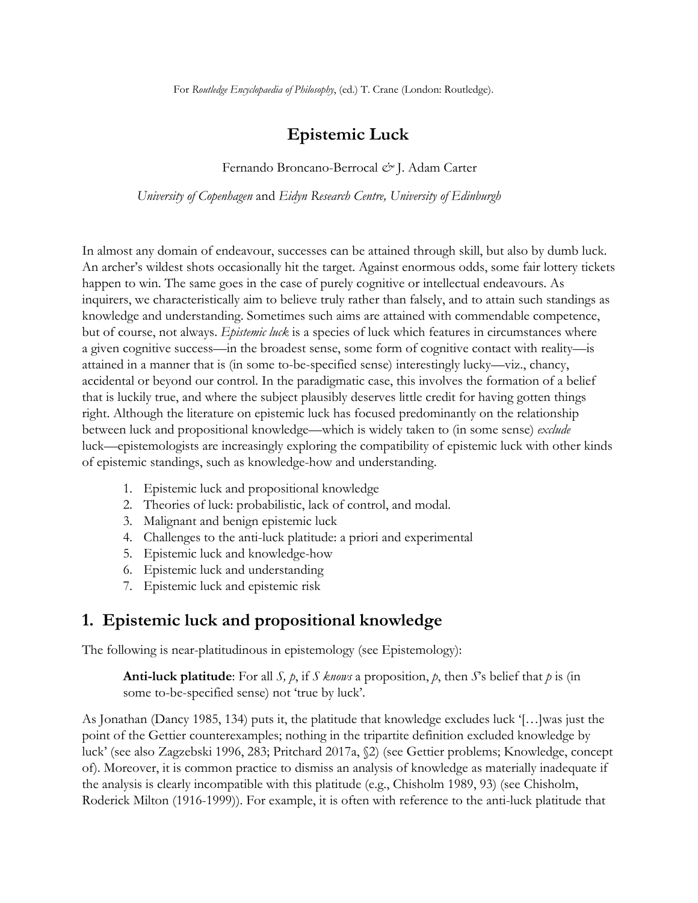For *Routledge Encyclopaedia of Philosophy*, (ed.) T. Crane (London: Routledge).

## **Epistemic Luck**

Fernando Broncano-Berrocal *&* J. Adam Carter

*University of Copenhagen* and *Eidyn Research Centre, University of Edinburgh*

In almost any domain of endeavour, successes can be attained through skill, but also by dumb luck. An archer's wildest shots occasionally hit the target. Against enormous odds, some fair lottery tickets happen to win. The same goes in the case of purely cognitive or intellectual endeavours. As inquirers, we characteristically aim to believe truly rather than falsely, and to attain such standings as knowledge and understanding. Sometimes such aims are attained with commendable competence, but of course, not always. *Epistemic luck* is a species of luck which features in circumstances where a given cognitive success—in the broadest sense, some form of cognitive contact with reality—is attained in a manner that is (in some to-be-specified sense) interestingly lucky—viz., chancy, accidental or beyond our control. In the paradigmatic case, this involves the formation of a belief that is luckily true, and where the subject plausibly deserves little credit for having gotten things right. Although the literature on epistemic luck has focused predominantly on the relationship between luck and propositional knowledge—which is widely taken to (in some sense) *exclude* luck—epistemologists are increasingly exploring the compatibility of epistemic luck with other kinds of epistemic standings, such as knowledge-how and understanding.

- 1. Epistemic luck and propositional knowledge
- 2. Theories of luck: probabilistic, lack of control, and modal.
- 3. Malignant and benign epistemic luck
- 4. Challenges to the anti-luck platitude: a priori and experimental
- 5. Epistemic luck and knowledge-how
- 6. Epistemic luck and understanding
- 7. Epistemic luck and epistemic risk

#### **1. Epistemic luck and propositional knowledge**

The following is near-platitudinous in epistemology (see Epistemology):

**Anti-luck platitude**: For all *S*,  $p$ , if *S knows* a proposition,  $p$ , then *S*'s belief that  $p$  is (in some to-be-specified sense) not 'true by luck'.

As Jonathan (Dancy 1985, 134) puts it, the platitude that knowledge excludes luck '[…]was just the point of the Gettier counterexamples; nothing in the tripartite definition excluded knowledge by luck' (see also Zagzebski 1996, 283; Pritchard 2017a, §2) (see Gettier problems; Knowledge, concept of). Moreover, it is common practice to dismiss an analysis of knowledge as materially inadequate if the analysis is clearly incompatible with this platitude (e.g., Chisholm 1989, 93) (see Chisholm, Roderick Milton (1916-1999)). For example, it is often with reference to the anti-luck platitude that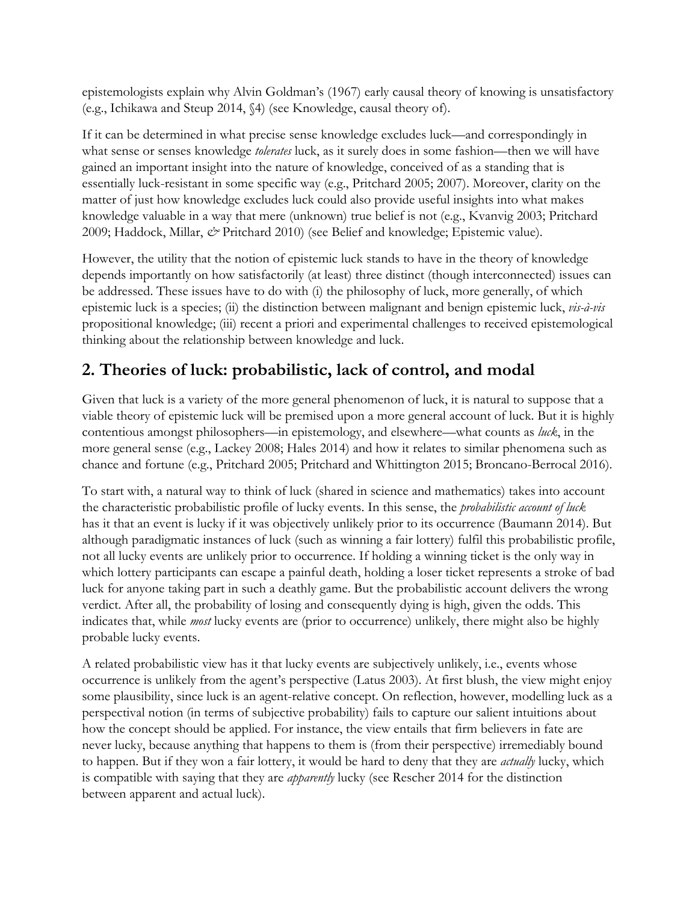epistemologists explain why Alvin Goldman's (1967) early causal theory of knowing is unsatisfactory (e.g., Ichikawa and Steup 2014, §4) (see Knowledge, causal theory of).

If it can be determined in what precise sense knowledge excludes luck—and correspondingly in what sense or senses knowledge *tolerates* luck, as it surely does in some fashion—then we will have gained an important insight into the nature of knowledge, conceived of as a standing that is essentially luck-resistant in some specific way (e.g., Pritchard 2005; 2007). Moreover, clarity on the matter of just how knowledge excludes luck could also provide useful insights into what makes knowledge valuable in a way that mere (unknown) true belief is not (e.g., Kvanvig 2003; Pritchard 2009; Haddock, Millar,  $\mathcal{O}$  Pritchard 2010) (see Belief and knowledge; Epistemic value).

However, the utility that the notion of epistemic luck stands to have in the theory of knowledge depends importantly on how satisfactorily (at least) three distinct (though interconnected) issues can be addressed. These issues have to do with (i) the philosophy of luck, more generally, of which epistemic luck is a species; (ii) the distinction between malignant and benign epistemic luck, *vis-à-vis* propositional knowledge; (iii) recent a priori and experimental challenges to received epistemological thinking about the relationship between knowledge and luck.

## **2. Theories of luck: probabilistic, lack of control, and modal**

Given that luck is a variety of the more general phenomenon of luck, it is natural to suppose that a viable theory of epistemic luck will be premised upon a more general account of luck. But it is highly contentious amongst philosophers—in epistemology, and elsewhere—what counts as *luck*, in the more general sense (e.g., Lackey 2008; Hales 2014) and how it relates to similar phenomena such as chance and fortune (e.g., Pritchard 2005; Pritchard and Whittington 2015; Broncano-Berrocal 2016).

To start with, a natural way to think of luck (shared in science and mathematics) takes into account the characteristic probabilistic profile of lucky events. In this sense, the *probabilistic account of luck* has it that an event is lucky if it was objectively unlikely prior to its occurrence (Baumann 2014). But although paradigmatic instances of luck (such as winning a fair lottery) fulfil this probabilistic profile, not all lucky events are unlikely prior to occurrence. If holding a winning ticket is the only way in which lottery participants can escape a painful death, holding a loser ticket represents a stroke of bad luck for anyone taking part in such a deathly game. But the probabilistic account delivers the wrong verdict. After all, the probability of losing and consequently dying is high, given the odds. This indicates that, while *most* lucky events are (prior to occurrence) unlikely, there might also be highly probable lucky events.

A related probabilistic view has it that lucky events are subjectively unlikely, i.e., events whose occurrence is unlikely from the agent's perspective (Latus 2003). At first blush, the view might enjoy some plausibility, since luck is an agent-relative concept. On reflection, however, modelling luck as a perspectival notion (in terms of subjective probability) fails to capture our salient intuitions about how the concept should be applied. For instance, the view entails that firm believers in fate are never lucky, because anything that happens to them is (from their perspective) irremediably bound to happen. But if they won a fair lottery, it would be hard to deny that they are *actually* lucky, which is compatible with saying that they are *apparently* lucky (see Rescher 2014 for the distinction between apparent and actual luck).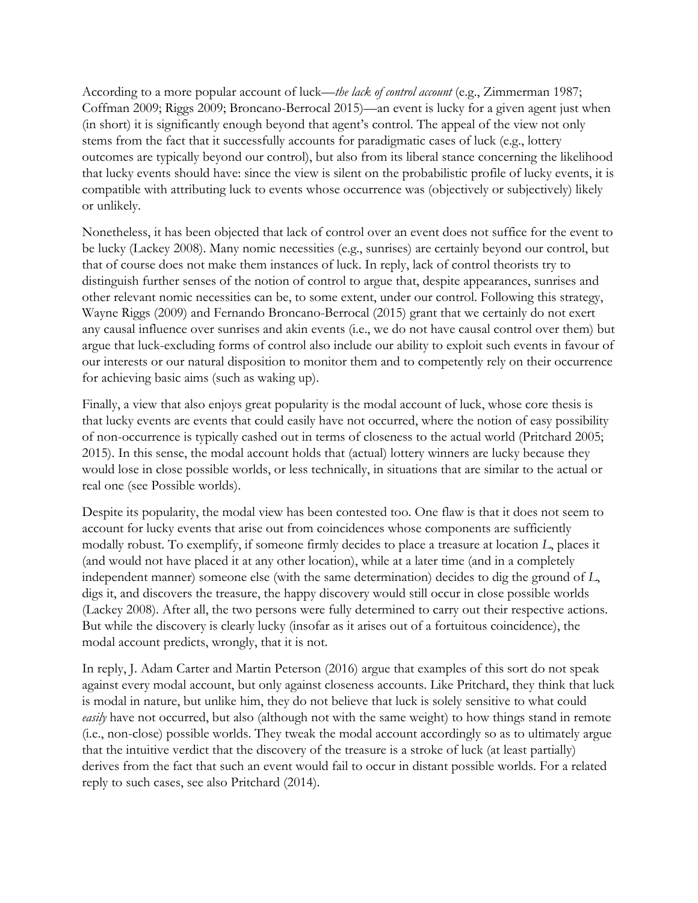According to a more popular account of luck*—the lack of control account* (e.g., Zimmerman 1987; Coffman 2009; Riggs 2009; Broncano-Berrocal 2015)*—*an event is lucky for a given agent just when (in short) it is significantly enough beyond that agent's control. The appeal of the view not only stems from the fact that it successfully accounts for paradigmatic cases of luck (e.g., lottery outcomes are typically beyond our control), but also from its liberal stance concerning the likelihood that lucky events should have: since the view is silent on the probabilistic profile of lucky events, it is compatible with attributing luck to events whose occurrence was (objectively or subjectively) likely or unlikely.

Nonetheless, it has been objected that lack of control over an event does not suffice for the event to be lucky (Lackey 2008). Many nomic necessities (e.g., sunrises) are certainly beyond our control, but that of course does not make them instances of luck. In reply, lack of control theorists try to distinguish further senses of the notion of control to argue that, despite appearances, sunrises and other relevant nomic necessities can be, to some extent, under our control. Following this strategy, Wayne Riggs (2009) and Fernando Broncano-Berrocal (2015) grant that we certainly do not exert any causal influence over sunrises and akin events (i.e., we do not have causal control over them) but argue that luck-excluding forms of control also include our ability to exploit such events in favour of our interests or our natural disposition to monitor them and to competently rely on their occurrence for achieving basic aims (such as waking up).

Finally, a view that also enjoys great popularity is the modal account of luck, whose core thesis is that lucky events are events that could easily have not occurred, where the notion of easy possibility of non-occurrence is typically cashed out in terms of closeness to the actual world (Pritchard 2005; 2015). In this sense, the modal account holds that (actual) lottery winners are lucky because they would lose in close possible worlds, or less technically, in situations that are similar to the actual or real one (see Possible worlds).

Despite its popularity, the modal view has been contested too. One flaw is that it does not seem to account for lucky events that arise out from coincidences whose components are sufficiently modally robust. To exemplify, if someone firmly decides to place a treasure at location *L*, places it (and would not have placed it at any other location), while at a later time (and in a completely independent manner) someone else (with the same determination) decides to dig the ground of *L*, digs it, and discovers the treasure, the happy discovery would still occur in close possible worlds (Lackey 2008). After all, the two persons were fully determined to carry out their respective actions. But while the discovery is clearly lucky (insofar as it arises out of a fortuitous coincidence), the modal account predicts, wrongly, that it is not.

In reply, J. Adam Carter and Martin Peterson (2016) argue that examples of this sort do not speak against every modal account, but only against closeness accounts. Like Pritchard, they think that luck is modal in nature, but unlike him, they do not believe that luck is solely sensitive to what could easily have not occurred, but also (although not with the same weight) to how things stand in remote (i.e., non-close) possible worlds. They tweak the modal account accordingly so as to ultimately argue that the intuitive verdict that the discovery of the treasure is a stroke of luck (at least partially) derives from the fact that such an event would fail to occur in distant possible worlds. For a related reply to such cases, see also Pritchard (2014).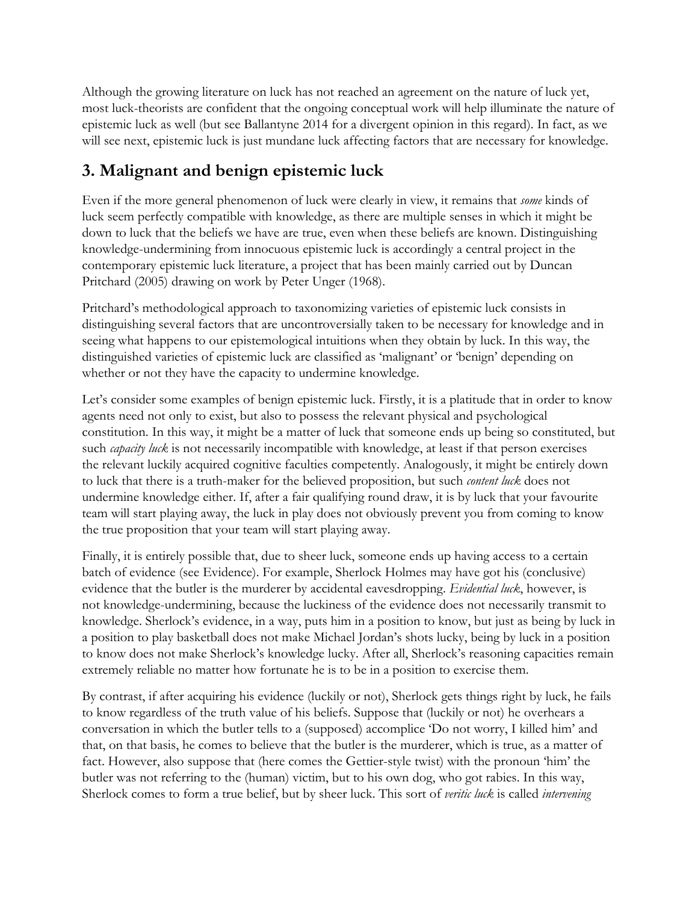Although the growing literature on luck has not reached an agreement on the nature of luck yet, most luck-theorists are confident that the ongoing conceptual work will help illuminate the nature of epistemic luck as well (but see Ballantyne 2014 for a divergent opinion in this regard). In fact, as we will see next, epistemic luck is just mundane luck affecting factors that are necessary for knowledge.

# **3. Malignant and benign epistemic luck**

Even if the more general phenomenon of luck were clearly in view, it remains that *some* kinds of luck seem perfectly compatible with knowledge, as there are multiple senses in which it might be down to luck that the beliefs we have are true, even when these beliefs are known. Distinguishing knowledge-undermining from innocuous epistemic luck is accordingly a central project in the contemporary epistemic luck literature, a project that has been mainly carried out by Duncan Pritchard (2005) drawing on work by Peter Unger (1968).

Pritchard's methodological approach to taxonomizing varieties of epistemic luck consists in distinguishing several factors that are uncontroversially taken to be necessary for knowledge and in seeing what happens to our epistemological intuitions when they obtain by luck. In this way, the distinguished varieties of epistemic luck are classified as 'malignant' or 'benign' depending on whether or not they have the capacity to undermine knowledge.

Let's consider some examples of benign epistemic luck. Firstly, it is a platitude that in order to know agents need not only to exist, but also to possess the relevant physical and psychological constitution. In this way, it might be a matter of luck that someone ends up being so constituted, but such *capacity luck* is not necessarily incompatible with knowledge, at least if that person exercises the relevant luckily acquired cognitive faculties competently. Analogously, it might be entirely down to luck that there is a truth-maker for the believed proposition, but such *content luck* does not undermine knowledge either. If, after a fair qualifying round draw, it is by luck that your favourite team will start playing away, the luck in play does not obviously prevent you from coming to know the true proposition that your team will start playing away.

Finally, it is entirely possible that, due to sheer luck, someone ends up having access to a certain batch of evidence (see Evidence). For example, Sherlock Holmes may have got his (conclusive) evidence that the butler is the murderer by accidental eavesdropping. *Evidential luck*, however, is not knowledge-undermining, because the luckiness of the evidence does not necessarily transmit to knowledge. Sherlock's evidence, in a way, puts him in a position to know, but just as being by luck in a position to play basketball does not make Michael Jordan's shots lucky, being by luck in a position to know does not make Sherlock's knowledge lucky. After all, Sherlock's reasoning capacities remain extremely reliable no matter how fortunate he is to be in a position to exercise them.

By contrast, if after acquiring his evidence (luckily or not), Sherlock gets things right by luck, he fails to know regardless of the truth value of his beliefs. Suppose that (luckily or not) he overhears a conversation in which the butler tells to a (supposed) accomplice 'Do not worry, I killed him' and that, on that basis, he comes to believe that the butler is the murderer, which is true, as a matter of fact. However, also suppose that (here comes the Gettier-style twist) with the pronoun 'him' the butler was not referring to the (human) victim, but to his own dog, who got rabies. In this way, Sherlock comes to form a true belief, but by sheer luck. This sort of *veritic luck* is called *intervening*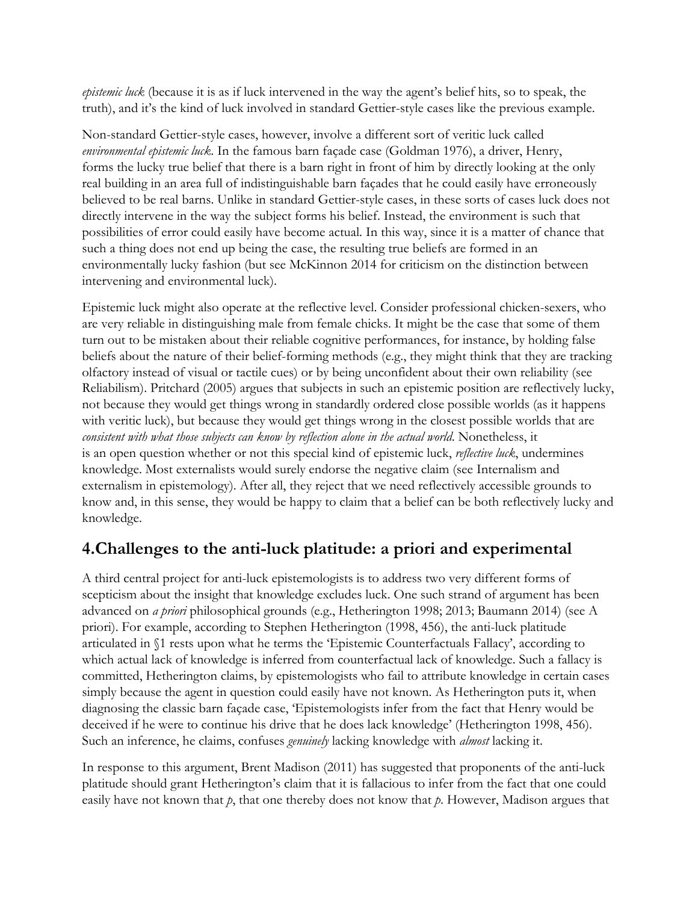*epistemic luck* (because it is as if luck intervened in the way the agent's belief hits, so to speak, the truth), and it's the kind of luck involved in standard Gettier-style cases like the previous example.

Non-standard Gettier-style cases, however, involve a different sort of veritic luck called *environmental epistemic luck*. In the famous barn façade case (Goldman 1976), a driver, Henry, forms the lucky true belief that there is a barn right in front of him by directly looking at the only real building in an area full of indistinguishable barn façades that he could easily have erroneously believed to be real barns. Unlike in standard Gettier-style cases, in these sorts of cases luck does not directly intervene in the way the subject forms his belief. Instead, the environment is such that possibilities of error could easily have become actual. In this way, since it is a matter of chance that such a thing does not end up being the case, the resulting true beliefs are formed in an environmentally lucky fashion (but see McKinnon 2014 for criticism on the distinction between intervening and environmental luck).

Epistemic luck might also operate at the reflective level. Consider professional chicken-sexers, who are very reliable in distinguishing male from female chicks. It might be the case that some of them turn out to be mistaken about their reliable cognitive performances, for instance, by holding false beliefs about the nature of their belief-forming methods (e.g., they might think that they are tracking olfactory instead of visual or tactile cues) or by being unconfident about their own reliability (see Reliabilism). Pritchard (2005) argues that subjects in such an epistemic position are reflectively lucky, not because they would get things wrong in standardly ordered close possible worlds (as it happens with veritic luck), but because they would get things wrong in the closest possible worlds that are *consistent with what those subjects can know by reflection alone in the actual world*. Nonetheless, it is an open question whether or not this special kind of epistemic luck, *reflective luck*, undermines knowledge. Most externalists would surely endorse the negative claim (see Internalism and externalism in epistemology). After all, they reject that we need reflectively accessible grounds to know and, in this sense, they would be happy to claim that a belief can be both reflectively lucky and knowledge.

### **4.Challenges to the anti-luck platitude: a priori and experimental**

A third central project for anti-luck epistemologists is to address two very different forms of scepticism about the insight that knowledge excludes luck. One such strand of argument has been advanced on *a priori* philosophical grounds (e.g., Hetherington 1998; 2013; Baumann 2014) (see A priori). For example, according to Stephen Hetherington (1998, 456), the anti-luck platitude articulated in §1 rests upon what he terms the 'Epistemic Counterfactuals Fallacy', according to which actual lack of knowledge is inferred from counterfactual lack of knowledge. Such a fallacy is committed, Hetherington claims, by epistemologists who fail to attribute knowledge in certain cases simply because the agent in question could easily have not known. As Hetherington puts it, when diagnosing the classic barn façade case, 'Epistemologists infer from the fact that Henry would be deceived if he were to continue his drive that he does lack knowledge' (Hetherington 1998, 456). Such an inference, he claims, confuses *genuinely* lacking knowledge with *almost* lacking it.

In response to this argument, Brent Madison (2011) has suggested that proponents of the anti-luck platitude should grant Hetherington's claim that it is fallacious to infer from the fact that one could easily have not known that *p*, that one thereby does not know that *p*. However, Madison argues that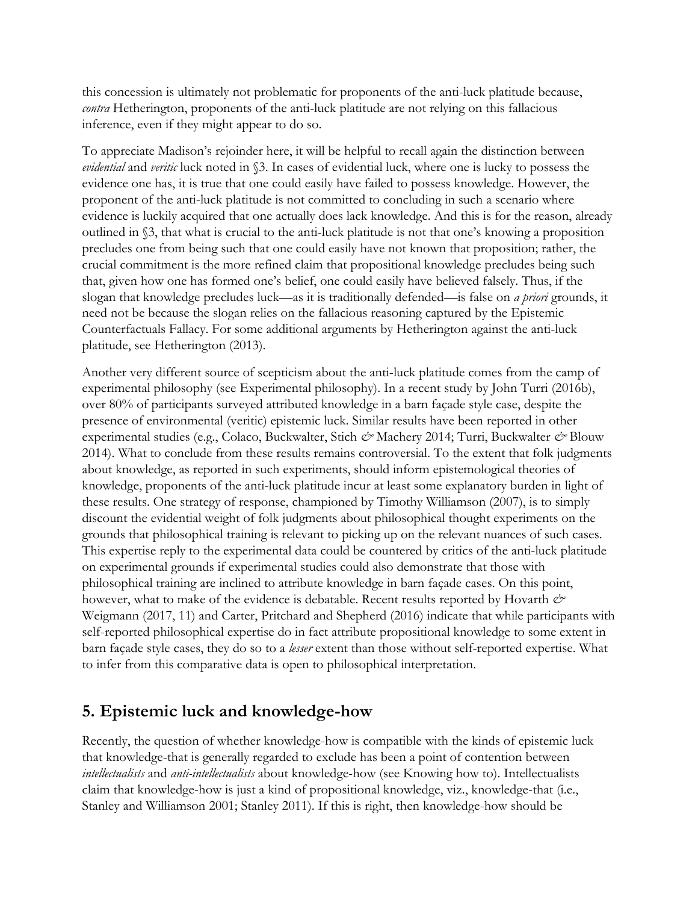this concession is ultimately not problematic for proponents of the anti-luck platitude because, *contra* Hetherington, proponents of the anti-luck platitude are not relying on this fallacious inference, even if they might appear to do so.

To appreciate Madison's rejoinder here, it will be helpful to recall again the distinction between *evidential* and *veritic* luck noted in §3. In cases of evidential luck, where one is lucky to possess the evidence one has, it is true that one could easily have failed to possess knowledge. However, the proponent of the anti-luck platitude is not committed to concluding in such a scenario where evidence is luckily acquired that one actually does lack knowledge. And this is for the reason, already outlined in §3, that what is crucial to the anti-luck platitude is not that one's knowing a proposition precludes one from being such that one could easily have not known that proposition; rather, the crucial commitment is the more refined claim that propositional knowledge precludes being such that, given how one has formed one's belief, one could easily have believed falsely. Thus, if the slogan that knowledge precludes luck—as it is traditionally defended—is false on *a priori* grounds, it need not be because the slogan relies on the fallacious reasoning captured by the Epistemic Counterfactuals Fallacy. For some additional arguments by Hetherington against the anti-luck platitude, see Hetherington (2013).

Another very different source of scepticism about the anti-luck platitude comes from the camp of experimental philosophy (see Experimental philosophy). In a recent study by John Turri (2016b), over 80% of participants surveyed attributed knowledge in a barn façade style case, despite the presence of environmental (veritic) epistemic luck. Similar results have been reported in other experimental studies (e.g., Colaco, Buckwalter, Stich *&* Machery 2014; Turri, Buckwalter *&* Blouw 2014). What to conclude from these results remains controversial. To the extent that folk judgments about knowledge, as reported in such experiments, should inform epistemological theories of knowledge, proponents of the anti-luck platitude incur at least some explanatory burden in light of these results. One strategy of response, championed by Timothy Williamson (2007), is to simply discount the evidential weight of folk judgments about philosophical thought experiments on the grounds that philosophical training is relevant to picking up on the relevant nuances of such cases. This expertise reply to the experimental data could be countered by critics of the anti-luck platitude on experimental grounds if experimental studies could also demonstrate that those with philosophical training are inclined to attribute knowledge in barn façade cases. On this point, however, what to make of the evidence is debatable. Recent results reported by Hovarth  $\dot{\mathcal{O}}$ Weigmann (2017, 11) and Carter, Pritchard and Shepherd (2016) indicate that while participants with self-reported philosophical expertise do in fact attribute propositional knowledge to some extent in barn façade style cases, they do so to a *lesser* extent than those without self-reported expertise. What to infer from this comparative data is open to philosophical interpretation.

#### **5. Epistemic luck and knowledge-how**

Recently, the question of whether knowledge-how is compatible with the kinds of epistemic luck that knowledge-that is generally regarded to exclude has been a point of contention between *intellectualists* and *anti-intellectualists* about knowledge-how (see Knowing how to). Intellectualists claim that knowledge-how is just a kind of propositional knowledge, viz., knowledge-that (i.e., Stanley and Williamson 2001; Stanley 2011). If this is right, then knowledge-how should be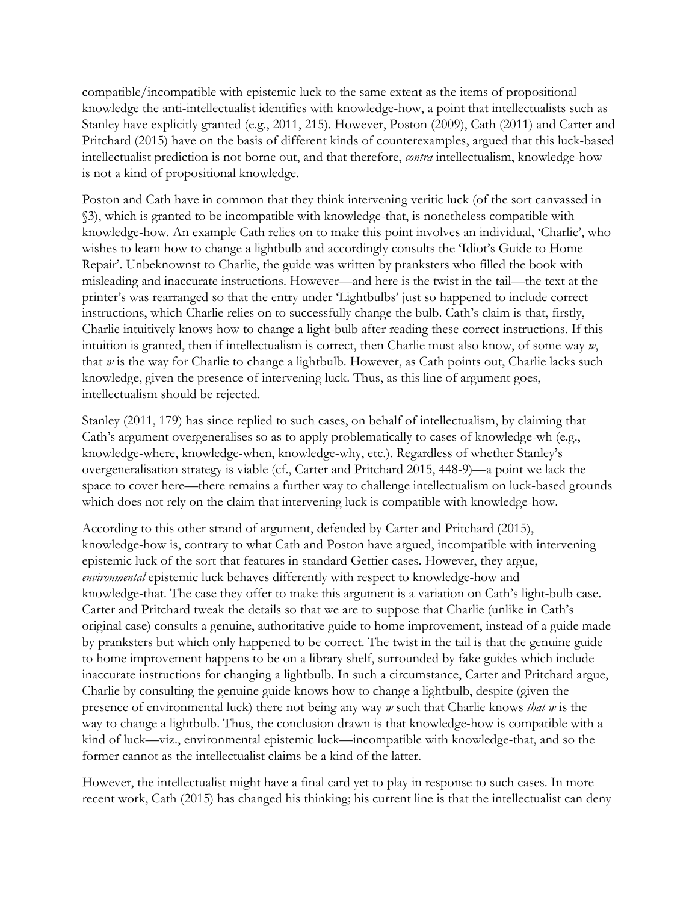compatible/incompatible with epistemic luck to the same extent as the items of propositional knowledge the anti-intellectualist identifies with knowledge-how, a point that intellectualists such as Stanley have explicitly granted (e.g., 2011, 215). However, Poston (2009), Cath (2011) and Carter and Pritchard (2015) have on the basis of different kinds of counterexamples, argued that this luck-based intellectualist prediction is not borne out, and that therefore, *contra* intellectualism, knowledge-how is not a kind of propositional knowledge.

Poston and Cath have in common that they think intervening veritic luck (of the sort canvassed in §3), which is granted to be incompatible with knowledge-that, is nonetheless compatible with knowledge-how. An example Cath relies on to make this point involves an individual, 'Charlie', who wishes to learn how to change a lightbulb and accordingly consults the 'Idiot's Guide to Home Repair'. Unbeknownst to Charlie, the guide was written by pranksters who filled the book with misleading and inaccurate instructions. However—and here is the twist in the tail—the text at the printer's was rearranged so that the entry under 'Lightbulbs' just so happened to include correct instructions, which Charlie relies on to successfully change the bulb. Cath's claim is that, firstly, Charlie intuitively knows how to change a light-bulb after reading these correct instructions. If this intuition is granted, then if intellectualism is correct, then Charlie must also know, of some way *w*, that *w* is the way for Charlie to change a lightbulb. However, as Cath points out, Charlie lacks such knowledge, given the presence of intervening luck. Thus, as this line of argument goes, intellectualism should be rejected.

Stanley (2011, 179) has since replied to such cases, on behalf of intellectualism, by claiming that Cath's argument overgeneralises so as to apply problematically to cases of knowledge-wh (e.g., knowledge-where, knowledge-when, knowledge-why, etc.). Regardless of whether Stanley's overgeneralisation strategy is viable (cf., Carter and Pritchard 2015, 448-9)—a point we lack the space to cover here—there remains a further way to challenge intellectualism on luck-based grounds which does not rely on the claim that intervening luck is compatible with knowledge-how.

According to this other strand of argument, defended by Carter and Pritchard (2015), knowledge-how is, contrary to what Cath and Poston have argued, incompatible with intervening epistemic luck of the sort that features in standard Gettier cases. However, they argue, *environmental* epistemic luck behaves differently with respect to knowledge-how and knowledge-that. The case they offer to make this argument is a variation on Cath's light-bulb case. Carter and Pritchard tweak the details so that we are to suppose that Charlie (unlike in Cath's original case) consults a genuine, authoritative guide to home improvement, instead of a guide made by pranksters but which only happened to be correct. The twist in the tail is that the genuine guide to home improvement happens to be on a library shelf, surrounded by fake guides which include inaccurate instructions for changing a lightbulb. In such a circumstance, Carter and Pritchard argue, Charlie by consulting the genuine guide knows how to change a lightbulb, despite (given the presence of environmental luck) there not being any way *w* such that Charlie knows *that w* is the way to change a lightbulb. Thus, the conclusion drawn is that knowledge-how is compatible with a kind of luck—viz., environmental epistemic luck—incompatible with knowledge-that, and so the former cannot as the intellectualist claims be a kind of the latter.

However, the intellectualist might have a final card yet to play in response to such cases. In more recent work, Cath (2015) has changed his thinking; his current line is that the intellectualist can deny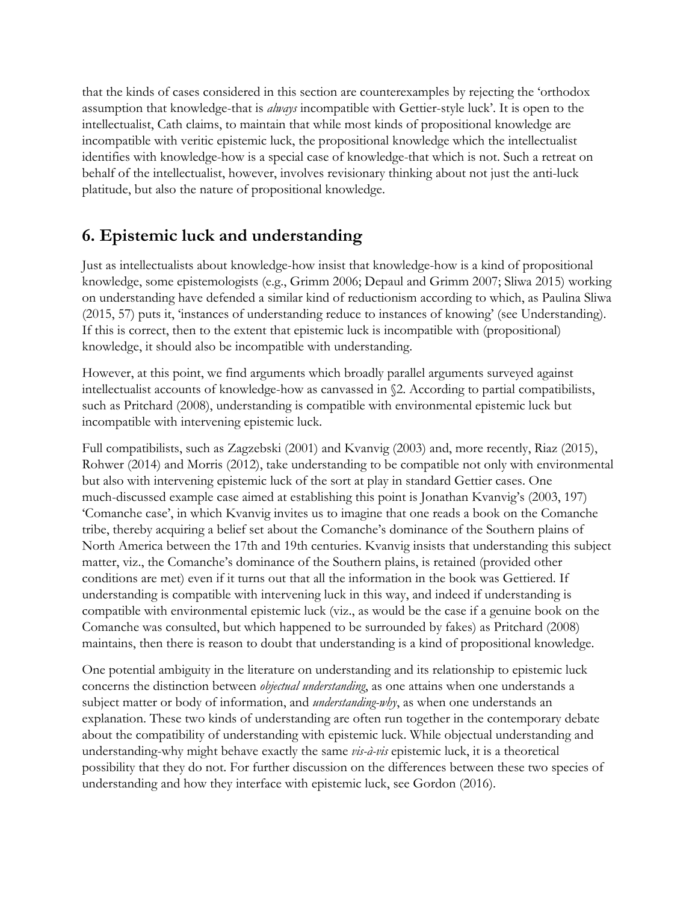that the kinds of cases considered in this section are counterexamples by rejecting the 'orthodox assumption that knowledge-that is *always* incompatible with Gettier-style luck'. It is open to the intellectualist, Cath claims, to maintain that while most kinds of propositional knowledge are incompatible with veritic epistemic luck, the propositional knowledge which the intellectualist identifies with knowledge-how is a special case of knowledge-that which is not. Such a retreat on behalf of the intellectualist, however, involves revisionary thinking about not just the anti-luck platitude, but also the nature of propositional knowledge.

#### **6. Epistemic luck and understanding**

Just as intellectualists about knowledge-how insist that knowledge-how is a kind of propositional knowledge, some epistemologists (e.g., Grimm 2006; Depaul and Grimm 2007; Sliwa 2015) working on understanding have defended a similar kind of reductionism according to which, as Paulina Sliwa (2015, 57) puts it, 'instances of understanding reduce to instances of knowing' (see Understanding). If this is correct, then to the extent that epistemic luck is incompatible with (propositional) knowledge, it should also be incompatible with understanding.

However, at this point, we find arguments which broadly parallel arguments surveyed against intellectualist accounts of knowledge-how as canvassed in §2. According to partial compatibilists, such as Pritchard (2008), understanding is compatible with environmental epistemic luck but incompatible with intervening epistemic luck.

Full compatibilists, such as Zagzebski (2001) and Kvanvig (2003) and, more recently, Riaz (2015), Rohwer (2014) and Morris (2012), take understanding to be compatible not only with environmental but also with intervening epistemic luck of the sort at play in standard Gettier cases. One much-discussed example case aimed at establishing this point is Jonathan Kvanvig's (2003, 197) 'Comanche case', in which Kvanvig invites us to imagine that one reads a book on the Comanche tribe, thereby acquiring a belief set about the Comanche's dominance of the Southern plains of North America between the 17th and 19th centuries. Kvanvig insists that understanding this subject matter, viz., the Comanche's dominance of the Southern plains, is retained (provided other conditions are met) even if it turns out that all the information in the book was Gettiered. If understanding is compatible with intervening luck in this way, and indeed if understanding is compatible with environmental epistemic luck (viz., as would be the case if a genuine book on the Comanche was consulted, but which happened to be surrounded by fakes) as Pritchard (2008) maintains, then there is reason to doubt that understanding is a kind of propositional knowledge.

One potential ambiguity in the literature on understanding and its relationship to epistemic luck concerns the distinction between *objectual understanding*, as one attains when one understands a subject matter or body of information, and *understanding-why*, as when one understands an explanation. These two kinds of understanding are often run together in the contemporary debate about the compatibility of understanding with epistemic luck. While objectual understanding and understanding-why might behave exactly the same *vis-à-vis* epistemic luck, it is a theoretical possibility that they do not. For further discussion on the differences between these two species of understanding and how they interface with epistemic luck, see Gordon (2016).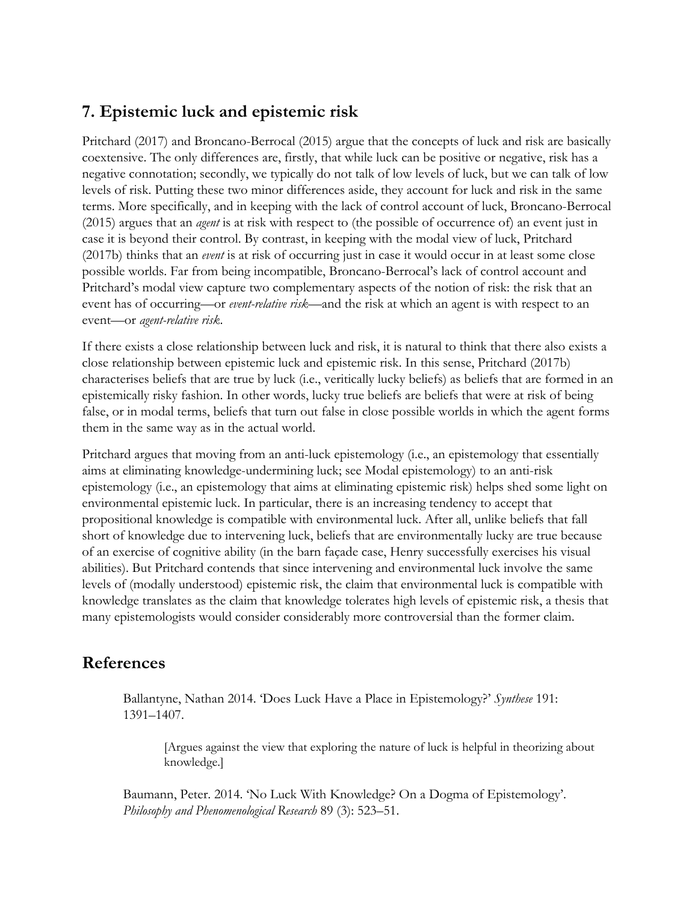## **7. Epistemic luck and epistemic risk**

Pritchard (2017) and Broncano-Berrocal (2015) argue that the concepts of luck and risk are basically coextensive. The only differences are, firstly, that while luck can be positive or negative, risk has a negative connotation; secondly, we typically do not talk of low levels of luck, but we can talk of low levels of risk. Putting these two minor differences aside, they account for luck and risk in the same terms. More specifically, and in keeping with the lack of control account of luck, Broncano-Berrocal (2015) argues that an *agent* is at risk with respect to (the possible of occurrence of) an event just in case it is beyond their control. By contrast, in keeping with the modal view of luck, Pritchard (2017b) thinks that an *event* is at risk of occurring just in case it would occur in at least some close possible worlds. Far from being incompatible, Broncano-Berrocal's lack of control account and Pritchard's modal view capture two complementary aspects of the notion of risk: the risk that an event has of occurring—or *event-relative risk*—and the risk at which an agent is with respect to an event—or *agent-relative risk*.

If there exists a close relationship between luck and risk, it is natural to think that there also exists a close relationship between epistemic luck and epistemic risk. In this sense, Pritchard (2017b) characterises beliefs that are true by luck (i.e., veritically lucky beliefs) as beliefs that are formed in an epistemically risky fashion. In other words, lucky true beliefs are beliefs that were at risk of being false, or in modal terms, beliefs that turn out false in close possible worlds in which the agent forms them in the same way as in the actual world.

Pritchard argues that moving from an anti-luck epistemology (i.e., an epistemology that essentially aims at eliminating knowledge-undermining luck; see Modal epistemology) to an anti-risk epistemology (i.e., an epistemology that aims at eliminating epistemic risk) helps shed some light on environmental epistemic luck. In particular, there is an increasing tendency to accept that propositional knowledge is compatible with environmental luck. After all, unlike beliefs that fall short of knowledge due to intervening luck, beliefs that are environmentally lucky are true because of an exercise of cognitive ability (in the barn façade case, Henry successfully exercises his visual abilities). But Pritchard contends that since intervening and environmental luck involve the same levels of (modally understood) epistemic risk, the claim that environmental luck is compatible with knowledge translates as the claim that knowledge tolerates high levels of epistemic risk, a thesis that many epistemologists would consider considerably more controversial than the former claim.

### **References**

Ballantyne, Nathan 2014. 'Does Luck Have a Place in Epistemology?' *Synthese* 191: 1391–1407.

[Argues against the view that exploring the nature of luck is helpful in theorizing about knowledge.]

Baumann, Peter. 2014. 'No Luck With Knowledge? On a Dogma of Epistemology'. *Philosophy and Phenomenological Research* 89 (3): 523–51.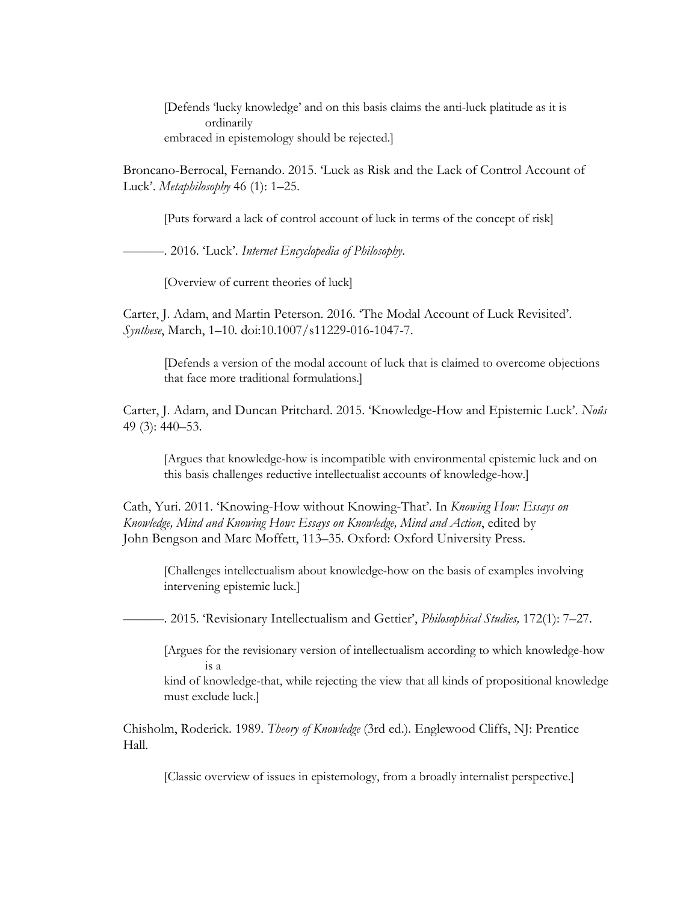[Defends 'lucky knowledge' and on this basis claims the anti-luck platitude as it is ordinarily embraced in epistemology should be rejected.]

Broncano-Berrocal, Fernando. 2015. 'Luck as Risk and the Lack of Control Account of Luck'. *Metaphilosophy* 46 (1): 1–25.

[Puts forward a lack of control account of luck in terms of the concept of risk]

———. 2016. 'Luck'. *Internet Encyclopedia of Philosophy*.

[Overview of current theories of luck]

Carter, J. Adam, and Martin Peterson. 2016. 'The Modal Account of Luck Revisited'. *Synthese*, March, 1–10. doi:10.1007/s11229-016-1047-7.

[Defends a version of the modal account of luck that is claimed to overcome objections that face more traditional formulations.]

Carter, J. Adam, and Duncan Pritchard. 2015. 'Knowledge-How and Epistemic Luck'. *Noûs* 49 (3): 440–53.

[Argues that knowledge-how is incompatible with environmental epistemic luck and on this basis challenges reductive intellectualist accounts of knowledge-how.]

Cath, Yuri. 2011. 'Knowing-How without Knowing-That'. In *Knowing How: Essays on Knowledge, Mind and Knowing How: Essays on Knowledge, Mind and Action*, edited by John Bengson and Marc Moffett, 113–35. Oxford: Oxford University Press.

[Challenges intellectualism about knowledge-how on the basis of examples involving intervening epistemic luck.]

———. 2015. 'Revisionary Intellectualism and Gettier', *Philosophical Studies,* 172(1): 7–27.

[Argues for the revisionary version of intellectualism according to which knowledge-how is a

kind of knowledge-that, while rejecting the view that all kinds of propositional knowledge must exclude luck.]

Chisholm, Roderick. 1989. *Theory of Knowledge* (3rd ed.). Englewood Cliffs, NJ: Prentice Hall.

[Classic overview of issues in epistemology, from a broadly internalist perspective.]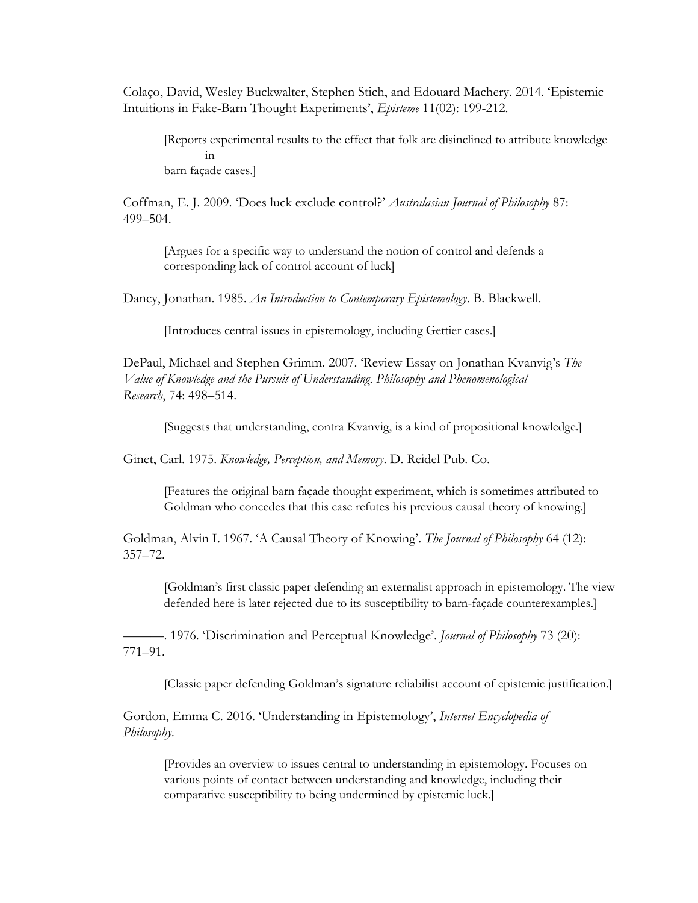Colaço, David, Wesley Buckwalter, Stephen Stich, and Edouard Machery. 2014. 'Epistemic Intuitions in Fake-Barn Thought Experiments', *Episteme* 11(02): 199-212.

[Reports experimental results to the effect that folk are disinclined to attribute knowledge in barn façade cases.]

Coffman, E. J. 2009. 'Does luck exclude control?' *Australasian Journal of Philosophy* 87: 499–504.

[Argues for a specific way to understand the notion of control and defends a corresponding lack of control account of luck]

Dancy, Jonathan. 1985. *An Introduction to Contemporary Epistemology*. B. Blackwell.

[Introduces central issues in epistemology, including Gettier cases.]

DePaul, Michael and Stephen Grimm. 2007. 'Review Essay on Jonathan Kvanvig's *The Value of Knowledge and the Pursuit of Understanding*. *Philosophy and Phenomenological Research*, 74: 498–514.

[Suggests that understanding, contra Kvanvig, is a kind of propositional knowledge.]

Ginet, Carl. 1975. *Knowledge, Perception, and Memory*. D. Reidel Pub. Co.

[Features the original barn façade thought experiment, which is sometimes attributed to Goldman who concedes that this case refutes his previous causal theory of knowing.]

Goldman, Alvin I. 1967. 'A Causal Theory of Knowing'. *The Journal of Philosophy* 64 (12): 357–72.

[Goldman's first classic paper defending an externalist approach in epistemology. The view defended here is later rejected due to its susceptibility to barn-façade counterexamples.]

———. 1976. 'Discrimination and Perceptual Knowledge'. *Journal of Philosophy* 73 (20): 771–91.

[Classic paper defending Goldman's signature reliabilist account of epistemic justification.]

Gordon, Emma C. 2016. 'Understanding in Epistemology', *Internet Encyclopedia of Philosophy.*

[Provides an overview to issues central to understanding in epistemology. Focuses on various points of contact between understanding and knowledge, including their comparative susceptibility to being undermined by epistemic luck.]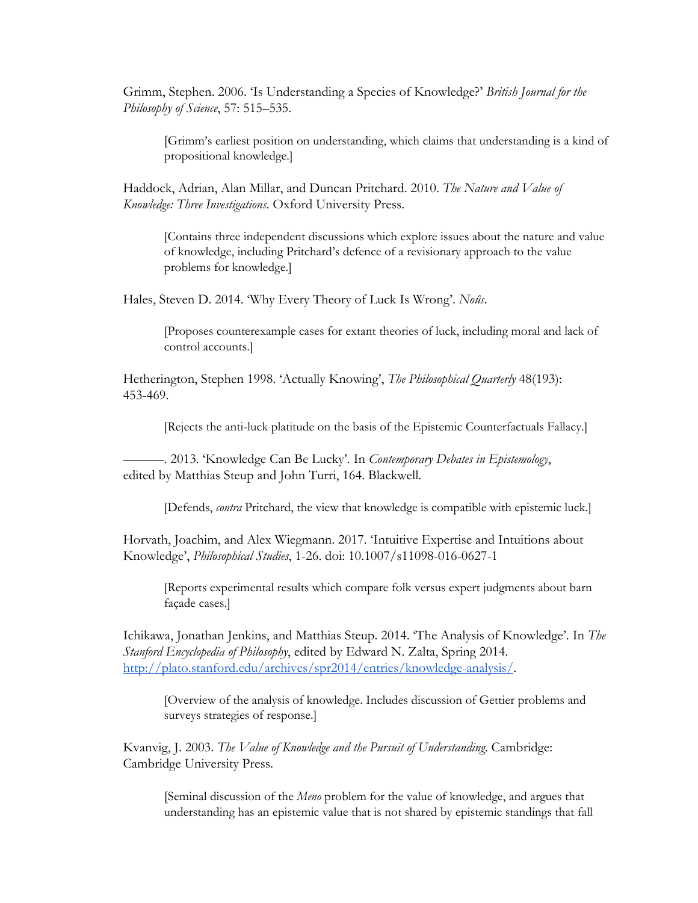Grimm, Stephen. 2006. 'Is Understanding a Species of Knowledge?' *British Journal for the Philosophy of Science*, 57: 515–535.

[Grimm's earliest position on understanding, which claims that understanding is a kind of propositional knowledge.]

Haddock, Adrian, Alan Millar, and Duncan Pritchard. 2010. *The Nature and Value of Knowledge: Three Investigations*. Oxford University Press.

[Contains three independent discussions which explore issues about the nature and value of knowledge, including Pritchard's defence of a revisionary approach to the value problems for knowledge.]

Hales, Steven D. 2014. 'Why Every Theory of Luck Is Wrong'. *Noûs*.

[Proposes counterexample cases for extant theories of luck, including moral and lack of control accounts.]

Hetherington, Stephen 1998. 'Actually Knowing', *The Philosophical Quarterly* 48(193): 453-469.

[Rejects the anti-luck platitude on the basis of the Epistemic Counterfactuals Fallacy.]

———. 2013. 'Knowledge Can Be Lucky'. In *Contemporary Debates in Epistemology*, edited by Matthias Steup and John Turri, 164. Blackwell.

[Defends, *contra* Pritchard, the view that knowledge is compatible with epistemic luck.]

Horvath, Joachim, and Alex Wiegmann. 2017. 'Intuitive Expertise and Intuitions about Knowledge', *Philosophical Studies*, 1-26. doi: 10.1007/s11098-016-0627-1

[Reports experimental results which compare folk versus expert judgments about barn façade cases.]

Ichikawa, Jonathan Jenkins, and Matthias Steup. 2014. 'The Analysis of Knowledge'. In *The Stanford Encyclopedia of Philosophy*, edited by Edward N. Zalta, Spring 2014. [http://plato.stanford.edu/archives/spr2014/entries/knowledge-analysis/.](http://plato.stanford.edu/archives/spr2014/entries/knowledge-analysis/)

[Overview of the analysis of knowledge. Includes discussion of Gettier problems and surveys strategies of response.]

Kvanvig, J. 2003. *The Value of Knowledge and the Pursuit of Understanding*. Cambridge: Cambridge University Press.

[Seminal discussion of the *Meno* problem for the value of knowledge, and argues that understanding has an epistemic value that is not shared by epistemic standings that fall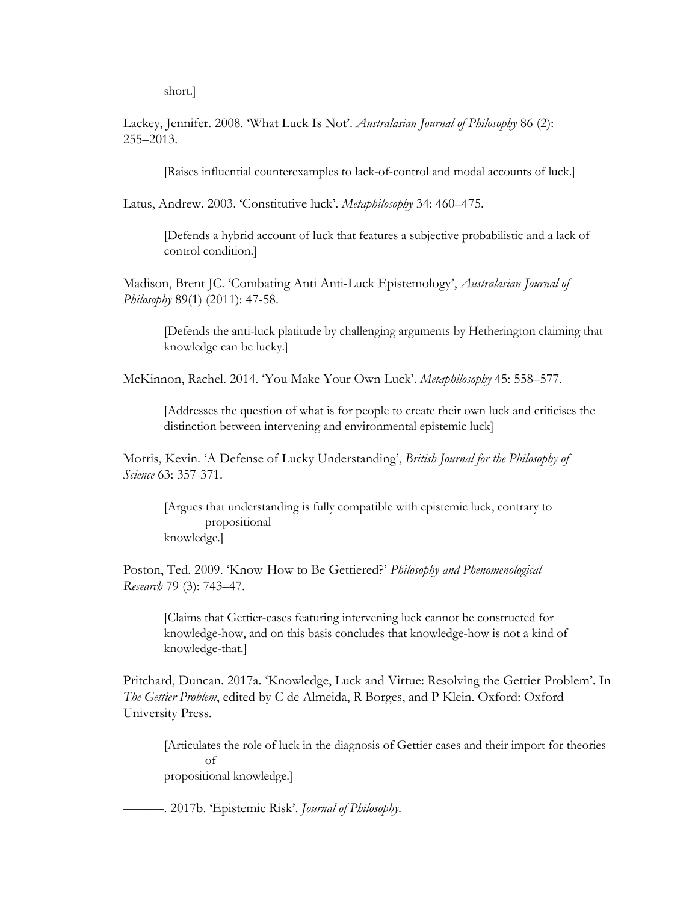short.]

Lackey, Jennifer. 2008. 'What Luck Is Not'. *Australasian Journal of Philosophy* 86 (2): 255–2013.

[Raises influential counterexamples to lack-of-control and modal accounts of luck.]

Latus, Andrew. 2003. 'Constitutive luck'. *Metaphilosophy* 34: 460–475.

[Defends a hybrid account of luck that features a subjective probabilistic and a lack of control condition.]

Madison, Brent JC. 'Combating Anti Anti-Luck Epistemology', *Australasian Journal of Philosophy* 89(1) (2011): 47-58.

[Defends the anti-luck platitude by challenging arguments by Hetherington claiming that knowledge can be lucky.]

McKinnon, Rachel. 2014. 'You Make Your Own Luck'. *Metaphilosophy* 45: 558–577.

[Addresses the question of what is for people to create their own luck and criticises the distinction between intervening and environmental epistemic luck]

Morris, Kevin. 'A Defense of Lucky Understanding', *British Journal for the Philosophy of Science* 63: 357-371.

[Argues that understanding is fully compatible with epistemic luck, contrary to propositional knowledge.]

Poston, Ted. 2009. 'Know-How to Be Gettiered?' *Philosophy and Phenomenological Research* 79 (3): 743–47.

[Claims that Gettier-cases featuring intervening luck cannot be constructed for knowledge-how, and on this basis concludes that knowledge-how is not a kind of knowledge-that.]

Pritchard, Duncan. 2017a. 'Knowledge, Luck and Virtue: Resolving the Gettier Problem'. In *The Gettier Problem*, edited by C de Almeida, R Borges, and P Klein. Oxford: Oxford University Press.

[Articulates the role of luck in the diagnosis of Gettier cases and their import for theories of propositional knowledge.]

———. 2017b. 'Epistemic Risk'. *Journal of Philosophy*.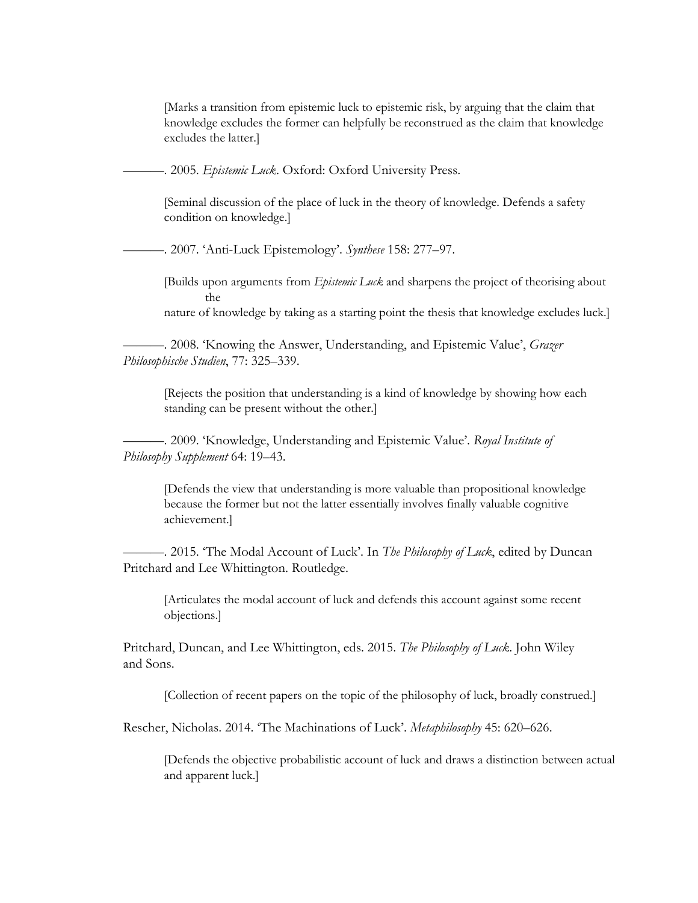[Marks a transition from epistemic luck to epistemic risk, by arguing that the claim that knowledge excludes the former can helpfully be reconstrued as the claim that knowledge excludes the latter.]

———. 2005. *Epistemic Luck*. Oxford: Oxford University Press.

[Seminal discussion of the place of luck in the theory of knowledge. Defends a safety condition on knowledge.]

———. 2007. 'Anti-Luck Epistemology'. *Synthese* 158: 277–97.

[Builds upon arguments from *Epistemic Luck* and sharpens the project of theorising about the

nature of knowledge by taking as a starting point the thesis that knowledge excludes luck.]

———. 2008. 'Knowing the Answer, Understanding, and Epistemic Value', *Grazer Philosophische Studien*, 77: 325–339.

[Rejects the position that understanding is a kind of knowledge by showing how each standing can be present without the other.]

———. 2009. 'Knowledge, Understanding and Epistemic Value'. *Royal Institute of Philosophy Supplement* 64: 19–43.

[Defends the view that understanding is more valuable than propositional knowledge because the former but not the latter essentially involves finally valuable cognitive achievement.]

-. 2015. 'The Modal Account of Luck'. In *The Philosophy of Luck*, edited by Duncan Pritchard and Lee Whittington. Routledge.

[Articulates the modal account of luck and defends this account against some recent objections.]

Pritchard, Duncan, and Lee Whittington, eds. 2015. *The Philosophy of Luck*. John Wiley and Sons.

[Collection of recent papers on the topic of the philosophy of luck, broadly construed.]

Rescher, Nicholas. 2014. 'The Machinations of Luck'. *Metaphilosophy* 45: 620–626.

[Defends the objective probabilistic account of luck and draws a distinction between actual and apparent luck.]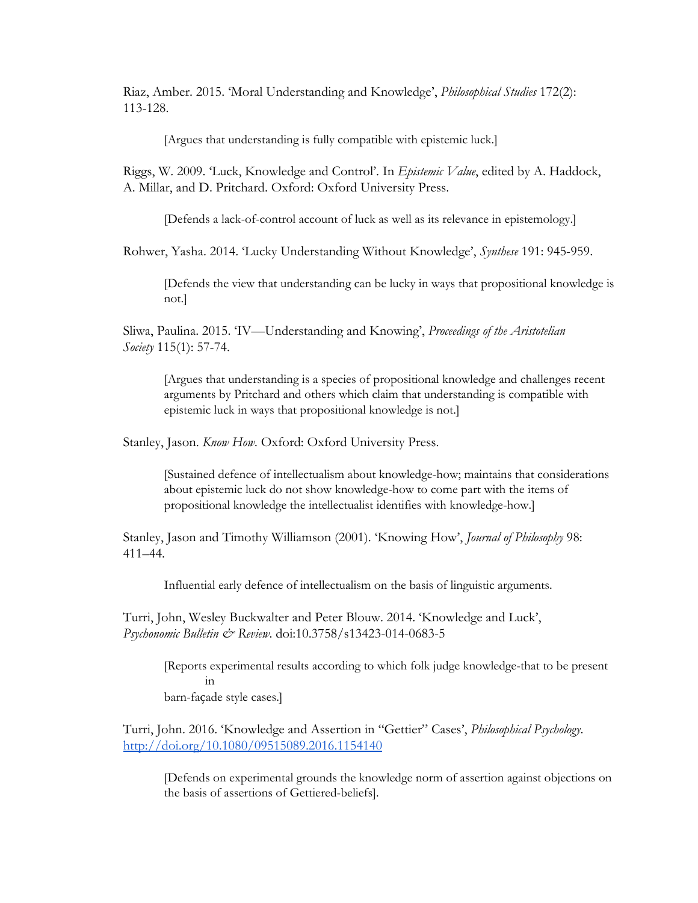Riaz, Amber. 2015. 'Moral Understanding and Knowledge', *Philosophical Studies* 172(2): 113-128.

[Argues that understanding is fully compatible with epistemic luck.]

Riggs, W. 2009. 'Luck, Knowledge and Control'. In *Epistemic Value*, edited by A. Haddock, A. Millar, and D. Pritchard. Oxford: Oxford University Press.

[Defends a lack-of-control account of luck as well as its relevance in epistemology.]

Rohwer, Yasha. 2014. 'Lucky Understanding Without Knowledge', *Synthese* 191: 945-959.

[Defends the view that understanding can be lucky in ways that propositional knowledge is not.]

Sliwa, Paulina. 2015. 'IV—Understanding and Knowing', *Proceedings of the Aristotelian Society* 115(1): 57-74.

[Argues that understanding is a species of propositional knowledge and challenges recent arguments by Pritchard and others which claim that understanding is compatible with epistemic luck in ways that propositional knowledge is not.]

Stanley, Jason. *Know How.* Oxford: Oxford University Press.

[Sustained defence of intellectualism about knowledge-how; maintains that considerations about epistemic luck do not show knowledge-how to come part with the items of propositional knowledge the intellectualist identifies with knowledge-how.]

Stanley, Jason and Timothy Williamson (2001). 'Knowing How', *Journal of Philosophy* 98: 411–44.

Influential early defence of intellectualism on the basis of linguistic arguments.

Turri, John, Wesley Buckwalter and Peter Blouw. 2014. 'Knowledge and Luck', *Psychonomic Bulletin & Review*. doi:10.3758/s13423-014-0683-5

[Reports experimental results according to which folk judge knowledge-that to be present in barn-façade style cases.]

Turri, John. 2016. 'Knowledge and Assertion in "Gettier" Cases', *Philosophical Psychology*. <http://doi.org/10.1080/09515089.2016.1154140>

[Defends on experimental grounds the knowledge norm of assertion against objections on the basis of assertions of Gettiered-beliefs].